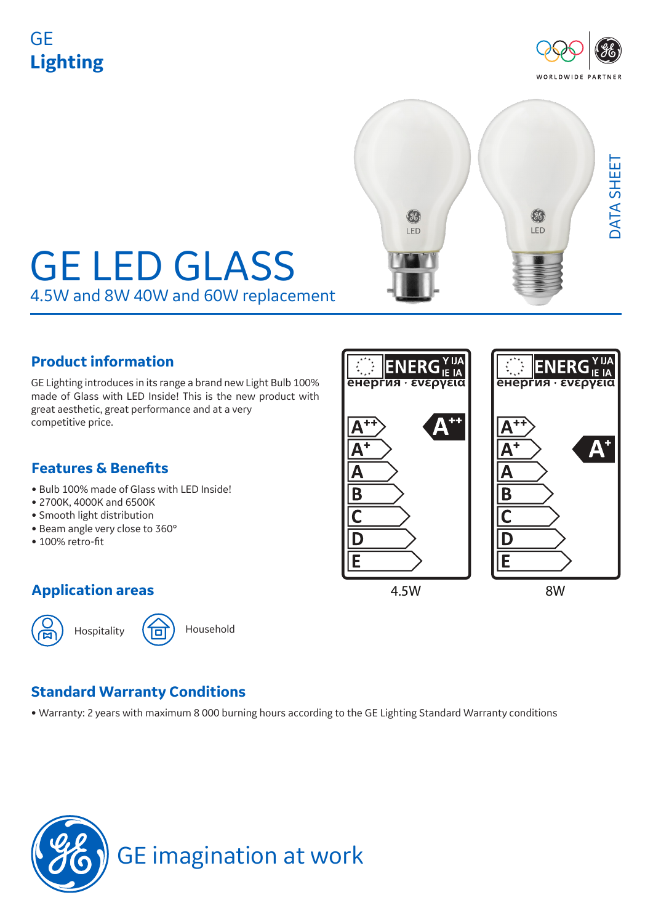## GE **Lighting**





# GE LED GLASS 4.5W and 8W 40W and 60W replacement

## **Product information**

GE Lighting introduces in its range a brand new Light Bulb 100% made of Glass with LED Inside! This is the new product with great aesthetic, great performance and at a very competitive price.

## **Features & Benefits**

- Bulb 100% made of Glass with LED Inside!
- 2700K, 4000K and 6500K
- Smooth light distribution
- Beam angle very close to 360°
- 100% retro-fit



## **Standard Warranty Conditions**

• Warranty: 2 years with maximum 8 000 burning hours according to the GE Lighting Standard Warranty conditions